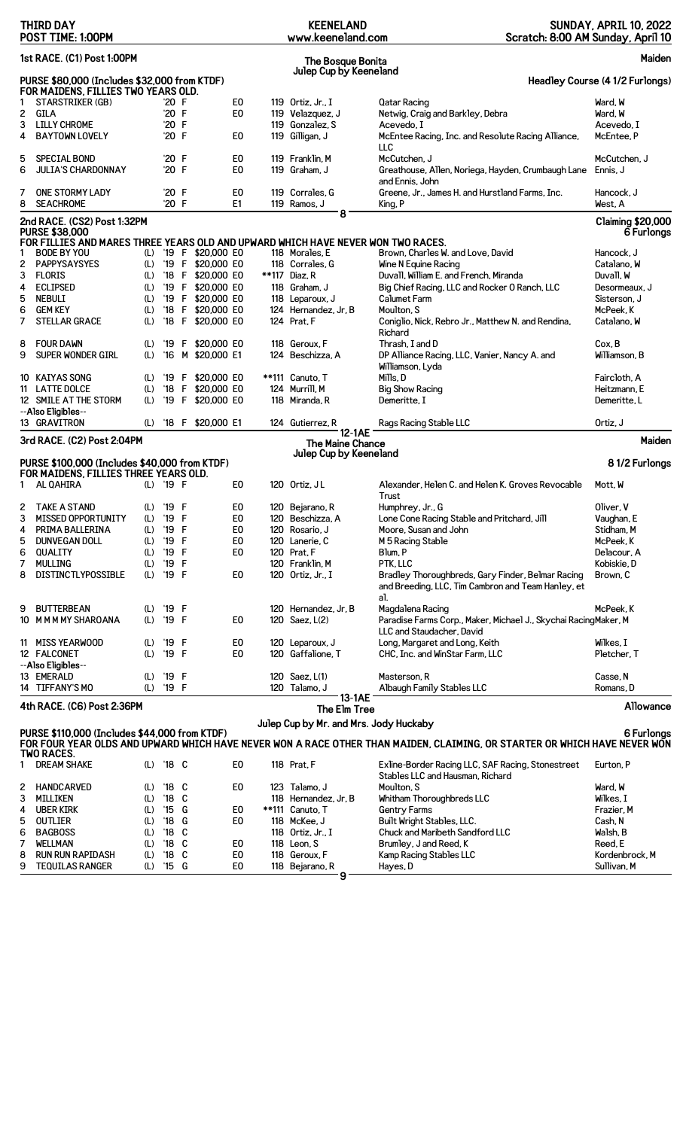|        | <b>THIRD DAY</b><br>POST TIME: 1:00PM                                                                                                                                                                                              |            |                |  |                                  | <b>KEENELAND</b><br>www.keeneland.com  | Scratch: 8:00 AM Sunday, April 10                                                                       | <b>SUNDAY, APRIL 10, 2022</b>          |
|--------|------------------------------------------------------------------------------------------------------------------------------------------------------------------------------------------------------------------------------------|------------|----------------|--|----------------------------------|----------------------------------------|---------------------------------------------------------------------------------------------------------|----------------------------------------|
|        | 1st RACE. (C1) Post 1:00PM                                                                                                                                                                                                         |            |                |  |                                  | The Bosque Bonita                      |                                                                                                         | Maiden                                 |
|        | PURSE \$80,000 (Includes \$32,000 from KTDF)<br>FOR MAIDENS, FILLIES TWO YEARS OLD.                                                                                                                                                |            |                |  |                                  | Julep Cup by Keeneland                 |                                                                                                         | Headley Course (4 1/2 Furlongs)        |
| 1      | STARSTRIKER (GB)                                                                                                                                                                                                                   |            | '20 F          |  | E <sub>0</sub>                   | 119 Ortiz, $Jr_{\cdot}$ , I            | <b>Qatar Racing</b>                                                                                     | Ward, W                                |
| 2      | GILA                                                                                                                                                                                                                               |            | '20 F          |  | E <sub>0</sub>                   | 119 Velazquez, J                       | Netwig, Craig and Barkley, Debra                                                                        | Ward, W                                |
| 3      | <b>LILLY CHROME</b>                                                                                                                                                                                                                |            | '20 F          |  |                                  | 119 Gonzalez, S                        | Acevedo, I                                                                                              | Acevedo, I                             |
| 4      | <b>BAYTOWN LOVELY</b>                                                                                                                                                                                                              |            | '20 F          |  | E0                               | 119 Gilligan, J                        | McEntee Racing, Inc. and Resolute Racing Alliance,<br>LLC                                               | McEntee, P                             |
| 5      | <b>SPECIAL BOND</b>                                                                                                                                                                                                                |            | '20 F          |  | E <sub>0</sub>                   | 119 Franklin, M                        | McCutchen, J                                                                                            | McCutchen. J                           |
| 6      | <b>JULIA'S CHARDONNAY</b>                                                                                                                                                                                                          |            | '20 F          |  | E0                               | 119 Graham. J                          | Greathouse, Allen, Noriega, Hayden, Crumbaugh Lane<br>and Ennis, John                                   | Ennis, J                               |
| 7      | ONE STORMY LADY                                                                                                                                                                                                                    |            | '20 F          |  | E0                               | 119 Corrales, G                        | Greene, Jr., James H. and Hurstland Farms, Inc.                                                         | Hancock, J                             |
| 8      | <b>SEACHROME</b>                                                                                                                                                                                                                   |            | '20 F          |  | E1                               | 119 Ramos, J                           | King, P                                                                                                 | West, A                                |
|        | 2nd RACE. (CS2) Post 1:32PM<br><b>PURSE \$38,000</b>                                                                                                                                                                               |            |                |  |                                  | 8                                      |                                                                                                         | <b>Claiming \$20,000</b><br>6 Furlongs |
|        | FOR FILLIES AND MARES THREE YEARS OLD AND UPWARD WHICH HAVE NEVER WON TWO RACES.                                                                                                                                                   |            |                |  |                                  |                                        |                                                                                                         |                                        |
|        | <b>BODE BY YOU</b>                                                                                                                                                                                                                 |            |                |  | (L) '19 F \$20,000 E0            | 118 Morales, E                         | Brown, Charles W. and Love, David                                                                       | Hancock, J                             |
| 2      | <b>PAPPYSAYSYES</b>                                                                                                                                                                                                                | (L)        |                |  | '19 F \$20,000 E0                | 118 Corrales, G                        | Wine N Equine Racing                                                                                    | Catalano, W                            |
| 3      | <b>FLORIS</b>                                                                                                                                                                                                                      | (L)        |                |  | '18 F \$20,000 E0                | **117 Diaz, R                          | Duvall, William E. and French, Miranda                                                                  | Duvall, W                              |
| 4      | <b>ECLIPSED</b>                                                                                                                                                                                                                    | (L)        |                |  | '19 F \$20,000 E0                | 118 Graham, J                          | Big Chief Racing, LLC and Rocker 0 Ranch, LLC                                                           | Desormeaux, J                          |
| 5      | <b>NEBULI</b>                                                                                                                                                                                                                      | (L)        |                |  | '19 F \$20,000 E0                | 118 Leparoux, J                        | Calumet Farm                                                                                            | Sisterson, J                           |
| 6      | <b>GEM KEY</b>                                                                                                                                                                                                                     | (L)        |                |  | '18 F \$20,000 E0                | 124 Hernandez, Jr, B                   | Moulton, S                                                                                              | McPeek.K                               |
| 7      | <b>STELLAR GRACE</b>                                                                                                                                                                                                               | (L)        |                |  | '18 F \$20,000 E0                | 124 Prat, F                            | Coniglio, Nick, Rebro Jr., Matthew N. and Rendina,<br>Richard                                           | Catalano, W                            |
| 8      | <b>FOUR DAWN</b>                                                                                                                                                                                                                   | (L)        |                |  | '19 F \$20,000 E0                | 118 Geroux, F                          | Thrash, I and D                                                                                         | Cox, B                                 |
| 9      | SUPER WONDER GIRL                                                                                                                                                                                                                  | (L)        | $^{\prime}16$  |  | M \$20,000 E1                    | 124 Beschizza, A                       | DP Alliance Racing, LLC, Vanier, Nancy A. and<br>Williamson, Lyda                                       | Williamson, B                          |
|        | 10 KAIYAS SONG                                                                                                                                                                                                                     | (L)        |                |  | '19 F \$20,000 E0                | **111 Canuto, T                        | Mills, D                                                                                                | Faircloth, A                           |
|        | 11 LATTE DOLCE                                                                                                                                                                                                                     | (L)        |                |  | '18 F \$20,000 E0                | 124 Murrill, M                         | <b>Big Show Racing</b>                                                                                  | Heitzmann, E                           |
|        | 12 SMILE AT THE STORM<br>--Also Eligibles--                                                                                                                                                                                        | (L)        |                |  | '19 F \$20,000 E0                | 118 Miranda, R                         | Demeritte, I                                                                                            | Demeritte, L                           |
|        | 13 GRAVITRON                                                                                                                                                                                                                       | (L)        |                |  | '18 F \$20,000 E1                | 124 Gutierrez, R<br><b>12-1AE</b>      | Rags Racing Stable LLC                                                                                  | Ortiz, J                               |
|        | 3rd RACE. (C2) Post 2:04PM                                                                                                                                                                                                         |            |                |  |                                  | <b>The Maine Chance</b>                |                                                                                                         | Maiden                                 |
|        |                                                                                                                                                                                                                                    |            |                |  |                                  | Julep Cup by Keeneland                 |                                                                                                         |                                        |
|        | PURSE \$100,000 (Includes \$40,000 from KTDF)                                                                                                                                                                                      |            |                |  |                                  |                                        |                                                                                                         | 81/2 Furlongs                          |
| 1      | FOR MAIDENS, FILLIES THREE YEARS OLD.<br>AL QAHIRA                                                                                                                                                                                 |            | $(L)$ '19 F    |  | E <sub>0</sub>                   | 120 Ortiz, JL                          | Alexander, Helen C. and Helen K. Groves Revocable                                                       | Mott, W                                |
|        |                                                                                                                                                                                                                                    |            |                |  |                                  |                                        | Trust                                                                                                   |                                        |
| 2      | TAKE A STAND<br>MISSED OPPORTUNITY                                                                                                                                                                                                 | (L)        | '19 F<br>'19 F |  | E0                               | 120 Bejarano, R                        | Humphrey, Jr., G<br>Lone Cone Racing Stable and Pritchard, Jill                                         | Oliver, V<br>Vaughan, E                |
| 3      | PRIMA BALLERINA                                                                                                                                                                                                                    | (L)        | '19 F          |  | E <sub>0</sub><br>E <sub>0</sub> | 120 Beschizza, A<br>120 Rosario, J     |                                                                                                         |                                        |
| 4<br>5 | <b>DUNVEGAN DOLL</b>                                                                                                                                                                                                               | (L)<br>(L) | '19 F          |  | E <sub>0</sub>                   | 120 Lanerie, C                         | Moore, Susan and John                                                                                   | Stidham, M<br>McPeek.K                 |
| 6      | QUALITY                                                                                                                                                                                                                            | (L)        | '19 F          |  | E <sub>0</sub>                   | 120 Prat, F                            | M 5 Racing Stable<br>Blum, P                                                                            | Delacour, A                            |
| 7      | <b>MULLING</b>                                                                                                                                                                                                                     | (L)        | '19 F          |  |                                  | 120 Franklin, M                        | PTK, LLC                                                                                                | Kobiskie. D                            |
| 8      | DISTINCTLYPOSSIBLE                                                                                                                                                                                                                 | (L)        | '19 F          |  | E <sub>0</sub>                   | 120 Ortiz, Jr., I                      | Bradley Thoroughbreds, Gary Finder, Belmar Racing<br>and Breeding, LLC, Tim Cambron and Team Hanley, et | Brown, C                               |
|        |                                                                                                                                                                                                                                    |            |                |  |                                  |                                        | al.                                                                                                     |                                        |
| 9      | BUTTERBEAN<br>10 M M M MY SHAROANA                                                                                                                                                                                                 | (L)<br>(L) | '19 F<br>'19 F |  | E <sub>0</sub>                   | 120 Hernandez, Jr, B<br>120 Saez. L(2) | Magdalena Racing<br>Paradise Farms Corp., Maker, Michael J., Skychai RacingMaker, M                     | McPeek, K                              |
|        |                                                                                                                                                                                                                                    |            |                |  |                                  |                                        | LLC and Staudacher, David                                                                               |                                        |
|        | 11 MISS YEARWOOD<br>12 FALCONET                                                                                                                                                                                                    | (L)<br>(L) | '19 F<br>'19 F |  | E0<br>E <sub>0</sub>             | 120 Leparoux, J<br>120 Gaffalione, T   | Long, Margaret and Long, Keith<br>CHC, Inc. and WinStar Farm, LLC                                       | Wilkes. I<br>Pletcher, T               |
|        | --Also Eligibles--                                                                                                                                                                                                                 |            |                |  |                                  |                                        |                                                                                                         |                                        |
|        | 13 EMERALD<br>14 TIFFANY'S MO                                                                                                                                                                                                      | (L)<br>(L) | '19 F<br>'19 F |  |                                  | 120 Saez, L(1)<br>120 Talamo, J        | Masterson, R<br>Albaugh Family Stables LLC                                                              | Casse, N<br>Romans, D                  |
|        |                                                                                                                                                                                                                                    |            |                |  |                                  | 13-1AE                                 |                                                                                                         |                                        |
|        | 4th RACE. (C6) Post 2:36PM                                                                                                                                                                                                         |            |                |  |                                  | The Elm Tree                           |                                                                                                         | Allowance                              |
|        | Julep Cup by Mr. and Mrs. Jody Huckaby<br>PURSE \$110,000 (Includes \$44,000 from KTDF)<br>6 Furlongs<br>FOR FOUR YEAR OLDS AND UPWARD WHICH HAVE NEVER WON A RACE OTHER THAN MAIDEN, CLAIMING, OR STARTER OR WHICH HAVE NEVER WON |            |                |  |                                  |                                        |                                                                                                         |                                        |
|        | <b>TWO RACES.</b>                                                                                                                                                                                                                  |            |                |  |                                  |                                        |                                                                                                         |                                        |
| 1      | <b>DREAM SHAKE</b>                                                                                                                                                                                                                 |            | (L) '18 C      |  | E <sub>0</sub>                   | 118 Prat, F                            | Exline-Border Racing LLC, SAF Racing, Stonestreet<br>Stables LLC and Hausman, Richard                   | Eurton, P                              |
| 2      | HANDCARVED                                                                                                                                                                                                                         | (L)        | '18 C          |  | E <sub>0</sub>                   | 123 Talamo, J                          | Moulton, S                                                                                              | Ward, W                                |
| 3      | MILLIKEN                                                                                                                                                                                                                           | (L)        | $'18$ C        |  |                                  | 118 Hernandez, Jr, B                   | Whitham Thoroughbreds LLC                                                                               | Wilkes, I                              |
| 4      | <b>UBER KIRK</b>                                                                                                                                                                                                                   | (L)        | '15 G          |  | E0                               | **111 Canuto, T                        | Gentry Farms                                                                                            | Frazier, M                             |
| 5      | OUTLIER                                                                                                                                                                                                                            | (L)        | $'18$ G        |  | E <sub>0</sub>                   | 118 McKee, J                           | Built Wright Stables, LLC.                                                                              | Cash, N                                |
| 6      | <b>BAGBOSS</b>                                                                                                                                                                                                                     | (L)        | $'18$ C        |  |                                  | 118 Ortiz, Jr., I                      | Chuck and Maribeth Sandford LLC                                                                         | Walsh, B                               |
| 7      | <b>WELLMAN</b>                                                                                                                                                                                                                     | (L)        | $'18$ C        |  | E0                               | 118 Leon, S                            | Brumley, J and Reed, K                                                                                  | Reed, E                                |
| 8      | <b>RUN RUN RAPIDASH</b>                                                                                                                                                                                                            | (L)        | $'18$ C        |  | E0                               | 118 Geroux, F                          | Kamp Racing Stables LLC                                                                                 | Kordenbrock, M                         |
| 9      | <b>TEQUILAS RANGER</b>                                                                                                                                                                                                             | (L)        | $'15$ G        |  | E0                               | 118 Bejarano, R                        | Hayes, D                                                                                                | Sullivan, M                            |
|        |                                                                                                                                                                                                                                    |            |                |  |                                  | 9                                      |                                                                                                         |                                        |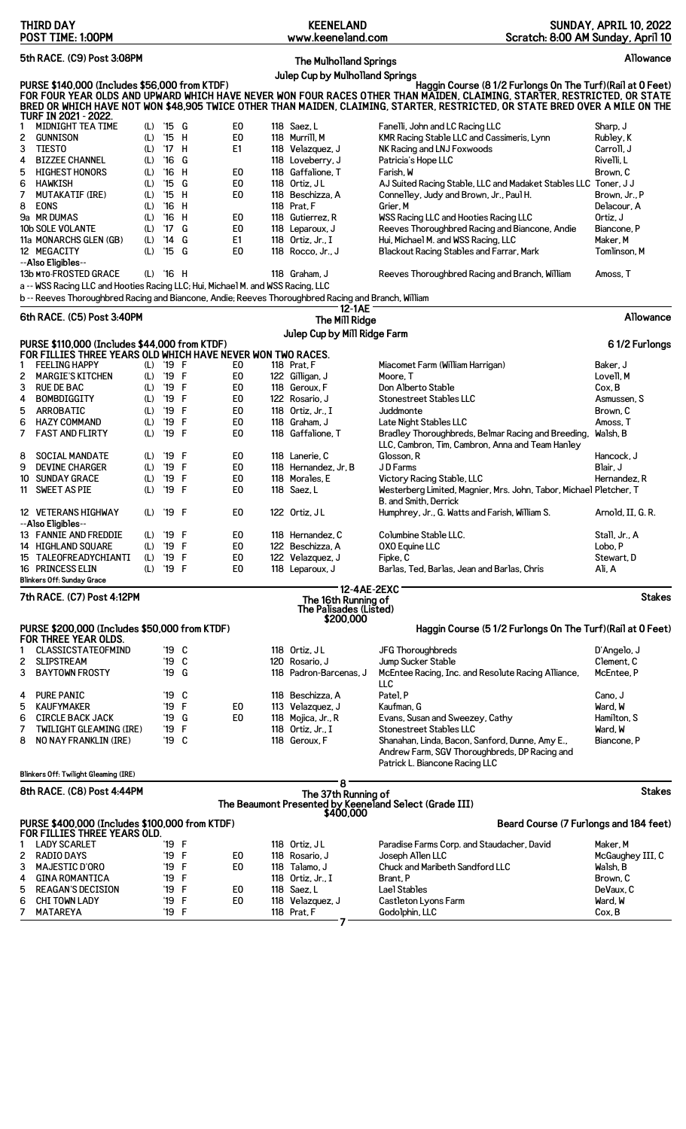| <b>THIRD DAY</b><br>POST TIME: 1:00PM                                                                                                                                                                                                                     |                                                                           |                                                          | <b>KEENELAND</b><br>www.keeneland.com                                         | Scratch: 8:00 AM Sunday, April 10                                                                                                                                                                                                                                                                                       | <b>SUNDAY, APRIL 10, 2022</b>                       |
|-----------------------------------------------------------------------------------------------------------------------------------------------------------------------------------------------------------------------------------------------------------|---------------------------------------------------------------------------|----------------------------------------------------------|-------------------------------------------------------------------------------|-------------------------------------------------------------------------------------------------------------------------------------------------------------------------------------------------------------------------------------------------------------------------------------------------------------------------|-----------------------------------------------------|
| 5th RACE. (C9) Post 3:08PM<br>Allowance<br><b>The Mulholland Springs</b>                                                                                                                                                                                  |                                                                           |                                                          |                                                                               |                                                                                                                                                                                                                                                                                                                         |                                                     |
| PURSE \$140,000 (Includes \$56,000 from KTDF)                                                                                                                                                                                                             |                                                                           |                                                          | Julep Cup by Mulholland Springs                                               | Haggin Course (8 1/2 Furlongs On The Turf) (Rail at 0 Feet)<br>FOR FOUR YEAR OLDS AND UPWARD WHICH HAVE NEVER WON FOUR RACES OTHER THAN MAIDEN, CLAIMING, STARTER, RESTRICTED, OR STATE<br>BRED OR WHICH HAVE NOT WON \$48,905 TWICE OTHER THAN MAIDEN, CLAIMING, STARTER, RESTRICTED, OR STATE BRED OVER A MILE ON THE |                                                     |
| TURF IN 2021 - 2022.<br>MIDNIGHT TEA TIME<br>1<br>(L)<br>2<br><b>GUNNISON</b><br>(L)<br>3<br>TIESTO<br>(L)<br>4<br><b>BIZZEE CHANNEL</b><br>(L)                                                                                                           | '15 G<br>$'15$ H<br>'17 H<br>$^{\prime}16$<br>G                           | E <sub>0</sub><br>E <sub>0</sub><br>E1                   | 118 Saez, L<br>118 Murrill, M<br>118 Velazquez, J<br>118 Loveberry, J         | Fanelli, John and LC Racing LLC<br>KMR Racing Stable LLC and Cassimeris, Lynn<br>NK Racing and LNJ Foxwoods<br>Patricia's Hope LLC                                                                                                                                                                                      | Sharp, J<br>Rubley, K<br>Carroll. J<br>Rivelli, L   |
| 5<br><b>HIGHEST HONORS</b><br>(L)<br>6<br><b>HAWKISH</b><br>(L)<br>7<br><b>MUTAKATIF (IRE)</b><br>(L)<br>8<br><b>EONS</b><br>(L)                                                                                                                          | $^{\prime}16$<br>H<br>$^{\prime}15$<br>G<br>$'15$ H<br>'16 H              | E <sub>0</sub><br>E0<br>E <sub>0</sub>                   | 118 Gaffalione. T<br>118 Ortiz, JL<br>118 Beschizza, A<br>118 Prat, F         | Farish, W<br>AJ Suited Racing Stable, LLC and Madaket Stables LLC Toner, JJ<br>Connelley, Judy and Brown, Jr., Paul H.<br>Grier, M                                                                                                                                                                                      | Brown. C<br>Brown, Jr., P<br>Delacour, A            |
| <b>9a MR DUMAS</b><br>(L)<br>10b SOLE VOLANTE<br>(L)<br>11a MONARCHS GLEN (GB)<br>(L)<br>12 MEGACITY<br>(L)                                                                                                                                               | $^{\prime}16$<br>н<br>G<br>$^{\prime}$ 17<br>$^{\prime}$ 14<br>G<br>'15 G | E0<br>E <sub>0</sub><br>E1<br>E <sub>0</sub>             | 118 Gutierrez, R<br>118 Leparoux, J<br>118 Ortiz, Jr., I<br>118 Rocco, Jr., J | WSS Racing LLC and Hooties Racing LLC<br>Reeves Thoroughbred Racing and Biancone, Andie<br>Hui, Michael M. and WSS Racing, LLC<br>Blackout Racing Stables and Farrar, Mark                                                                                                                                              | Ortiz, J<br>Biancone, P<br>Maker, M<br>Tomlinson, M |
| --Also Eligibles--<br>(L) '16 H<br><b>13b MTO-FROSTED GRACE</b><br>a -- WSS Racing LLC and Hooties Racing LLC; Hui, Michael M. and WSS Racing, LLC<br>b -- Reeves Thoroughbred Racing and Biancone, Andie; Reeves Thoroughbred Racing and Branch, William |                                                                           |                                                          | 118 Graham, J                                                                 | Reeves Thoroughbred Racing and Branch, William                                                                                                                                                                                                                                                                          | Amoss. T                                            |
| 6th RACE. (C5) Post 3:40PM                                                                                                                                                                                                                                |                                                                           |                                                          | 12-1AE                                                                        |                                                                                                                                                                                                                                                                                                                         | Allowance                                           |
|                                                                                                                                                                                                                                                           |                                                                           |                                                          | The Mill Ridge<br>Julep Cup by Mill Ridge Farm                                |                                                                                                                                                                                                                                                                                                                         |                                                     |
| PURSE \$110,000 (Includes \$44,000 from KTDF)<br>FOR FILLIES THREE YEARS OLD WHICH HAVE NEVER WON TWO RACES.                                                                                                                                              |                                                                           |                                                          |                                                                               |                                                                                                                                                                                                                                                                                                                         | 61/2 Furlongs                                       |
| <b>FEELING HAPPY</b><br>(L) '19 F<br>1<br><b>MARGIE'S KITCHEN</b><br>2<br>(L)                                                                                                                                                                             | '19 F                                                                     | E0<br>E <sub>0</sub>                                     | 118 Prat, F<br>122 Gilligan, J                                                | Miacomet Farm (William Harrigan)<br>Moore, T                                                                                                                                                                                                                                                                            | Baker, J<br>Lovell, M                               |
| 3<br><b>RUE DE BAC</b><br>(L)<br>4<br><b>BOMBDIGGITY</b><br>(L)<br>5<br>ARROBATIC<br>(L)<br>6<br><b>HAZY COMMAND</b><br>(L)                                                                                                                               | '19 F<br>F<br>'19<br>'19<br>F<br>'19<br>F                                 | E <sub>0</sub><br>E <sub>0</sub><br>E <sub>0</sub><br>E0 | 118 Geroux, F<br>122 Rosario, J<br>118 Ortiz, Jr., I<br>118 Graham, J         | Don Alberto Stable<br>Stonestreet Stables LLC<br>Juddmonte<br>Late Night Stables LLC                                                                                                                                                                                                                                    | Cox, B<br>Asmussen, S<br>Brown, C<br>Amoss, T       |
| 7<br><b>FAST AND FLIRTY</b><br>(L)<br>8<br><b>SOCIAL MANDATE</b><br>(L)                                                                                                                                                                                   | '19 F<br>'19 F                                                            | E0<br>E0                                                 | 118 Gaffalione, T<br>118 Lanerie, C                                           | Bradley Thoroughbreds, Belmar Racing and Breeding,<br>LLC, Cambron, Tim, Cambron, Anna and Team Hanley<br>Glosson, R                                                                                                                                                                                                    | Walsh, B<br>Hancock, J                              |
| 9<br><b>DEVINE CHARGER</b><br>(L)                                                                                                                                                                                                                         | '19<br>F                                                                  | E <sub>0</sub>                                           | 118 Hernandez, Jr, B                                                          | JD Farms                                                                                                                                                                                                                                                                                                                | Blair, J                                            |
| 10 SUNDAY GRACE<br>(L)<br>11 SWEET AS PIE<br>(L)                                                                                                                                                                                                          | '19<br>F<br>'19 F                                                         | E <sub>0</sub><br>E <sub>0</sub>                         | 118 Morales, E<br>118 Saez, L                                                 | Victory Racing Stable, LLC<br>Westerberg Limited, Magnier, Mrs. John, Tabor, Michael Pletcher, T<br>B. and Smith, Derrick                                                                                                                                                                                               | Hernandez, R                                        |
| 12 VETERANS HIGHWAY<br>(L) '19 F<br>--Also Eligibles--<br>13 FANNIE AND FREDDIE<br>(L)                                                                                                                                                                    | '19 F                                                                     | E0<br>E0                                                 | 122 Ortiz, JL<br>118 Hernandez, C                                             | Humphrey, Jr., G. Watts and Farish, William S.<br>Columbine Stable LLC.                                                                                                                                                                                                                                                 | Arnold, II, G. R.<br>Stall, Jr., A                  |
| 14 HIGHLAND SQUARE<br>(L)                                                                                                                                                                                                                                 | '19<br>F                                                                  | E <sub>0</sub>                                           | 122 Beschizza, A                                                              | OXO Equine LLC                                                                                                                                                                                                                                                                                                          | Lobo, P                                             |
| 15 TALEOFREADYCHIANTI<br>(L)<br>16 PRINCESS ELIN<br>(L)<br><b>Blinkers Off: Sunday Grace</b>                                                                                                                                                              | '19<br>F<br>'19 F                                                         | E <sub>0</sub><br>E <sub>0</sub>                         | 122 Velazquez, J<br>118 Leparoux, J                                           | Fipke, C<br>Barlas, Ted, Barlas, Jean and Barlas, Chris                                                                                                                                                                                                                                                                 | Stewart, D<br>Ali, A                                |
| 12-4AE-2EXC<br><b>Stakes</b><br>7th RACE. (C7) Post 4:12PM<br>The 16th Running of<br>The Palisades (Listed)<br>\$200,000                                                                                                                                  |                                                                           |                                                          |                                                                               |                                                                                                                                                                                                                                                                                                                         |                                                     |
| PURSE \$200,000 (Includes \$50,000 from KTDF)<br>Haggin Course (51/2 Furlongs On The Turf) (Rail at 0 Feet)<br>FOR THREE YEAR OLDS.                                                                                                                       |                                                                           |                                                          |                                                                               |                                                                                                                                                                                                                                                                                                                         |                                                     |
| <b>CLASSICSTATEOFMIND</b><br>1                                                                                                                                                                                                                            | $'19$ C                                                                   |                                                          | 118 Ortiz, JL                                                                 | JFG Thoroughbreds                                                                                                                                                                                                                                                                                                       | D'Angelo, J                                         |
| <b>SLIPSTREAM</b><br>2<br>3<br><b>BAYTOWN FROSTY</b>                                                                                                                                                                                                      | '19 C<br>'19 G                                                            |                                                          | 120 Rosario, J<br>118 Padron-Barcenas, J                                      | Jump Sucker Stable<br>McEntee Racing, Inc. and Resolute Racing Alliance,<br>ЩC                                                                                                                                                                                                                                          | Clement, C<br>McEntee, P                            |
| <b>PURE PANIC</b><br>4<br>5<br><b>KAUFYMAKER</b><br><b>CIRCLE BACK JACK</b><br>6                                                                                                                                                                          | '19 C<br>'19 F<br>'19 G                                                   | E0<br>E <sub>0</sub>                                     | 118 Beschizza, A<br>113 Velazquez, J<br>118 Mojica, Jr., R                    | Patel, P<br>Kaufman, G<br>Evans, Susan and Sweezey, Cathy                                                                                                                                                                                                                                                               | Cano, J<br>Ward, W<br>Hamilton, S                   |
| 7<br><b>TWILIGHT GLEAMING (IRE)</b><br>8<br>NO NAY FRANKLIN (IRE)                                                                                                                                                                                         | '19<br>F<br>'19 C                                                         |                                                          | 118 Ortiz, Jr., I<br>118 Geroux, F                                            | Stonestreet Stables LLC<br>Shanahan, Linda, Bacon, Sanford, Dunne, Amy E.,<br>Andrew Farm, SGV Thoroughbreds, DP Racing and<br>Patrick L. Biancone Racing LLC                                                                                                                                                           | Ward, W<br>Biancone, P                              |
| Blinkers Off: Twilight Gleaming (IRE)<br>8                                                                                                                                                                                                                |                                                                           |                                                          |                                                                               |                                                                                                                                                                                                                                                                                                                         |                                                     |
| 8th RACE. (C8) Post 4:44PM<br><b>Stakes</b><br>The 37th Running of<br>The Beaumont Presented by Keeneland Select (Grade III)<br>\$400,000                                                                                                                 |                                                                           |                                                          |                                                                               |                                                                                                                                                                                                                                                                                                                         |                                                     |
| PURSE \$400,000 (Includes \$100,000 from KTDF)<br>Beard Course (7 Furlongs and 184 feet)<br>FOR FILLIES THREE YEARS OLD.                                                                                                                                  |                                                                           |                                                          |                                                                               |                                                                                                                                                                                                                                                                                                                         |                                                     |
| <b>LADY SCARLET</b><br>1<br><b>RADIO DAYS</b>                                                                                                                                                                                                             | '19 F                                                                     | E <sub>0</sub>                                           | 118 Ortiz, JL                                                                 | Paradise Farms Corp. and Staudacher, David                                                                                                                                                                                                                                                                              | Maker, M                                            |
| 2<br><b>MAJESTIC D'ORO</b><br>3                                                                                                                                                                                                                           | '19 F<br>'19 F                                                            | E <sub>0</sub>                                           | 118 Rosario, J<br>118 Talamo, J                                               | Joseph Allen LLC<br>Chuck and Maribeth Sandford LLC                                                                                                                                                                                                                                                                     | McGaughey III, C<br>Walsh, B                        |
| 4<br><b>GINA ROMANTICA</b>                                                                                                                                                                                                                                | F<br>'19                                                                  |                                                          | 118 Ortiz, Jr., I                                                             | Brant, P                                                                                                                                                                                                                                                                                                                | Brown, C                                            |
| 5<br><b>REAGAN'S DECISION</b><br>6<br>CHI TOWN LADY<br>7<br>MATAREYA                                                                                                                                                                                      | '19 F<br>$^{\prime}$ 19<br>F<br>'19 F                                     | E0<br>E <sub>0</sub>                                     | 118 Saez, L<br>118 Velazquez, J<br>118 Prat, F                                | Lael Stables<br>Castleton Lyons Farm<br>Godolphin, LLC                                                                                                                                                                                                                                                                  | DeVaux, C<br>Ward, W<br>Cox, B                      |
|                                                                                                                                                                                                                                                           |                                                                           |                                                          |                                                                               |                                                                                                                                                                                                                                                                                                                         |                                                     |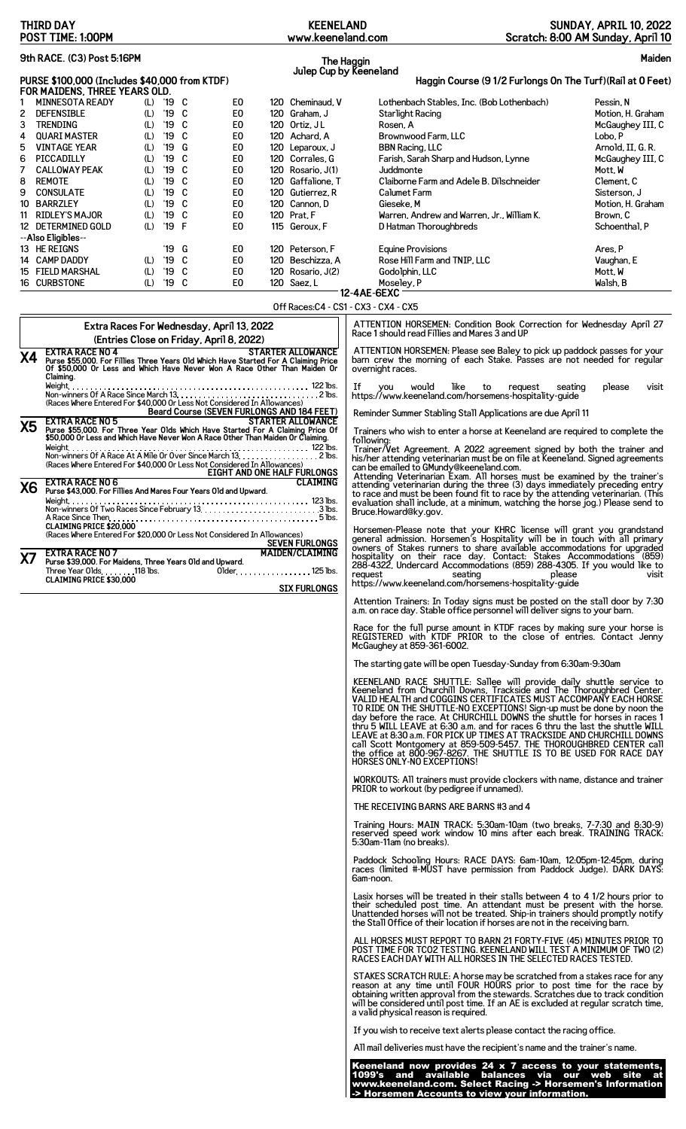| <b>THIRD DAY</b><br>POST TIME: 1:00PM                                                                                                                                                                                                                                                                                                                                                                                                                                                                                                                                                                                                                                                                                                                                                                                                                                                                                                                              | <b>KEENELAND</b><br>www.keeneland.com                                                                                                                                                                                                                                                              |                                                                                                                                                                                                                                                                                                                                                                                                                                                                                                                                                                                                                                                                                                                                                                                                                                                                                                                                                                                                                                                                                                                                                                                                                                                                                                                                                                                                                                                                                                                                                                                                                                                                                                                                                                                                                                                                                                                                                                                                                                                                                                                                                                                                                                                                                                                                                                                                                                                                                                                                                                                                                                                                                                                                                                                                                                                                                                                                                                                                                                                                                                                                                                                                                                                                                                                                                                                                                                                                                                                                                                                                                                                | <b>SUNDAY, APRIL 10, 2022</b><br>Scratch: 8:00 AM Sunday, April 10                                                                                                                                                                                |
|--------------------------------------------------------------------------------------------------------------------------------------------------------------------------------------------------------------------------------------------------------------------------------------------------------------------------------------------------------------------------------------------------------------------------------------------------------------------------------------------------------------------------------------------------------------------------------------------------------------------------------------------------------------------------------------------------------------------------------------------------------------------------------------------------------------------------------------------------------------------------------------------------------------------------------------------------------------------|----------------------------------------------------------------------------------------------------------------------------------------------------------------------------------------------------------------------------------------------------------------------------------------------------|------------------------------------------------------------------------------------------------------------------------------------------------------------------------------------------------------------------------------------------------------------------------------------------------------------------------------------------------------------------------------------------------------------------------------------------------------------------------------------------------------------------------------------------------------------------------------------------------------------------------------------------------------------------------------------------------------------------------------------------------------------------------------------------------------------------------------------------------------------------------------------------------------------------------------------------------------------------------------------------------------------------------------------------------------------------------------------------------------------------------------------------------------------------------------------------------------------------------------------------------------------------------------------------------------------------------------------------------------------------------------------------------------------------------------------------------------------------------------------------------------------------------------------------------------------------------------------------------------------------------------------------------------------------------------------------------------------------------------------------------------------------------------------------------------------------------------------------------------------------------------------------------------------------------------------------------------------------------------------------------------------------------------------------------------------------------------------------------------------------------------------------------------------------------------------------------------------------------------------------------------------------------------------------------------------------------------------------------------------------------------------------------------------------------------------------------------------------------------------------------------------------------------------------------------------------------------------------------------------------------------------------------------------------------------------------------------------------------------------------------------------------------------------------------------------------------------------------------------------------------------------------------------------------------------------------------------------------------------------------------------------------------------------------------------------------------------------------------------------------------------------------------------------------------------------------------------------------------------------------------------------------------------------------------------------------------------------------------------------------------------------------------------------------------------------------------------------------------------------------------------------------------------------------------------------------------------------------------------------------------------------------------|---------------------------------------------------------------------------------------------------------------------------------------------------------------------------------------------------------------------------------------------------|
| 9th RACE. (C3) Post 5:16PM                                                                                                                                                                                                                                                                                                                                                                                                                                                                                                                                                                                                                                                                                                                                                                                                                                                                                                                                         | The Haggin                                                                                                                                                                                                                                                                                         |                                                                                                                                                                                                                                                                                                                                                                                                                                                                                                                                                                                                                                                                                                                                                                                                                                                                                                                                                                                                                                                                                                                                                                                                                                                                                                                                                                                                                                                                                                                                                                                                                                                                                                                                                                                                                                                                                                                                                                                                                                                                                                                                                                                                                                                                                                                                                                                                                                                                                                                                                                                                                                                                                                                                                                                                                                                                                                                                                                                                                                                                                                                                                                                                                                                                                                                                                                                                                                                                                                                                                                                                                                                | Maiden                                                                                                                                                                                                                                            |
| PURSE \$100,000 (Includes \$40,000 from KTDF)                                                                                                                                                                                                                                                                                                                                                                                                                                                                                                                                                                                                                                                                                                                                                                                                                                                                                                                      | Julep Cup by Keeneland                                                                                                                                                                                                                                                                             | Haggin Course (9 1/2 Furlongs On The Turf) (Rail at 0 Feet)                                                                                                                                                                                                                                                                                                                                                                                                                                                                                                                                                                                                                                                                                                                                                                                                                                                                                                                                                                                                                                                                                                                                                                                                                                                                                                                                                                                                                                                                                                                                                                                                                                                                                                                                                                                                                                                                                                                                                                                                                                                                                                                                                                                                                                                                                                                                                                                                                                                                                                                                                                                                                                                                                                                                                                                                                                                                                                                                                                                                                                                                                                                                                                                                                                                                                                                                                                                                                                                                                                                                                                                    |                                                                                                                                                                                                                                                   |
| FOR MAIDENS, THREE YEARS OLD.<br>(L) '19 C<br><b>MINNESOTA READY</b><br>E <sub>0</sub><br>1<br>'19 C<br>2<br><b>DEFENSIBLE</b><br>E <sub>0</sub><br>(L)<br>'19 C<br>E <sub>0</sub><br>3<br><b>TRENDING</b><br>(L)<br>'19 C<br>E <sub>0</sub><br><b>QUARI MASTER</b><br>(L)<br>4<br><b>VINTAGE YEAR</b><br>'19<br>G<br>E <sub>0</sub><br>5<br>(L)<br>'19<br>C<br>PICCADILLY<br>(L)<br>E <sub>0</sub><br>6<br>'19 C<br>E <sub>0</sub><br><b>CALLOWAY PEAK</b><br>(L)<br>7<br><b>REMOTE</b><br>$'19$ C<br>E <sub>0</sub><br>8<br>(L)<br>'19 C<br><b>CONSULATE</b><br>(L)<br>E <sub>0</sub><br>9<br>'19 C<br>E <sub>0</sub><br>10 BARRZLEY<br>(L)<br>11 RIDLEY'S MAJOR<br>$'19$ C<br>E <sub>0</sub><br>(L)<br>'19 F<br>12 DETERMINED GOLD<br>(L)<br>E0<br>--Also Eligibles--<br>13 HE REIGNS<br>'19<br>G<br>E0<br>E <sub>0</sub><br>14 CAMP DADDY<br>'19 C<br>(L)<br>'19 C<br>E <sub>0</sub><br>15 FIELD MARSHAL<br>(L)<br>16 CURBSTONE<br>(L) '19 C<br>E <sub>0</sub> | 120 Cheminaud, V<br>120 Graham, J<br>120 Ortiz, JL<br>120 Achard, A<br>120 Leparoux, J<br>120 Corrales, G<br>120 Rosario, J(1)<br>120 Gaffalione, T<br>120 Gutierrez.R<br>120 Cannon, D<br>120 Prat, F<br>115 Geroux, F<br>120 Peterson, F<br>120 Beschizza, A<br>120 Rosario, J(2)<br>120 Saez, L | Lothenbach Stables, Inc. (Bob Lothenbach)<br>Starlight Racing<br>Rosen, A<br>Brownwood Farm, LLC<br><b>BBN Racing, LLC</b><br>Farish, Sarah Sharp and Hudson, Lynne<br>Juddmonte<br>Claiborne Farm and Adele B. Dilschneider<br>Calumet Farm<br>Gieseke, M<br>Warren, Andrew and Warren, Jr., William K.<br>D Hatman Thoroughbreds<br><b>Equine Provisions</b><br>Rose Hill Farm and TNIP, LLC<br>Godolphin, LLC<br>Moseley, P                                                                                                                                                                                                                                                                                                                                                                                                                                                                                                                                                                                                                                                                                                                                                                                                                                                                                                                                                                                                                                                                                                                                                                                                                                                                                                                                                                                                                                                                                                                                                                                                                                                                                                                                                                                                                                                                                                                                                                                                                                                                                                                                                                                                                                                                                                                                                                                                                                                                                                                                                                                                                                                                                                                                                                                                                                                                                                                                                                                                                                                                                                                                                                                                                 | Pessin, N<br>Motion, H. Graham<br>McGaughey III, C<br>Lobo, P<br>Arnold, II, G. R.<br>McGaughey III, C<br>Mott. W<br>Clement, C<br>Sisterson, J<br>Motion, H. Graham<br>Brown, C<br>Schoenthal, P<br>Ares, P<br>Vaughan, E<br>Mott, W<br>Walsh, B |
|                                                                                                                                                                                                                                                                                                                                                                                                                                                                                                                                                                                                                                                                                                                                                                                                                                                                                                                                                                    | Off Races:C4 - CS1 - CX3 - CX4 - CX5                                                                                                                                                                                                                                                               | 12-4AE-6EXC                                                                                                                                                                                                                                                                                                                                                                                                                                                                                                                                                                                                                                                                                                                                                                                                                                                                                                                                                                                                                                                                                                                                                                                                                                                                                                                                                                                                                                                                                                                                                                                                                                                                                                                                                                                                                                                                                                                                                                                                                                                                                                                                                                                                                                                                                                                                                                                                                                                                                                                                                                                                                                                                                                                                                                                                                                                                                                                                                                                                                                                                                                                                                                                                                                                                                                                                                                                                                                                                                                                                                                                                                                    |                                                                                                                                                                                                                                                   |
| Extra Races For Wednesday, April 13, 2022<br>(Entries Close on Friday, April 8, 2022)<br><b>EXTRA RACE NO 4</b><br>Х4<br>Purse \$55,000. For Fillies Three Years Old Which Have Started For A Claiming Price<br>Of \$50,000 Or Less and Which Have Never Won A Race Other Than Maiden Or<br>Claiming.<br>(Races Where Entered For \$40,000 Or Less Not Considered In Allowances)                                                                                                                                                                                                                                                                                                                                                                                                                                                                                                                                                                                   | <b>STARTER ALLOWANCE</b><br>If<br>Beard Course (SEVEN FURLONGS AND 184 FEET)                                                                                                                                                                                                                       | ATTENTION HORSEMEN: Condition Book Correction for Wednesday April 27<br>Race 1 should read Fillies and Mares 3 and UP<br>ATTENTION HORSEMEN: Please see Baley to pick up paddock passes for your<br>barn crew the morning of each Stake. Passes are not needed for regular<br>overnight races.<br>would<br>like<br>to<br><b>VOU</b><br>request<br>https://www.keeneland.com/horsemens-hospitality-guide                                                                                                                                                                                                                                                                                                                                                                                                                                                                                                                                                                                                                                                                                                                                                                                                                                                                                                                                                                                                                                                                                                                                                                                                                                                                                                                                                                                                                                                                                                                                                                                                                                                                                                                                                                                                                                                                                                                                                                                                                                                                                                                                                                                                                                                                                                                                                                                                                                                                                                                                                                                                                                                                                                                                                                                                                                                                                                                                                                                                                                                                                                                                                                                                                                        | please<br>visit<br>seating                                                                                                                                                                                                                        |
| <b>EXTRA RACE NO 5</b><br><b>X5</b><br>Purse \$55,000. For Three Year Olds Which Have Started For A Claiming Price Of \$50,000 Or Less and Which Have Never Won A Race Other Than Maiden Or Claiming.                                                                                                                                                                                                                                                                                                                                                                                                                                                                                                                                                                                                                                                                                                                                                              | <b>STARTER ALLOWANCE</b>                                                                                                                                                                                                                                                                           | Reminder Summer Stabling Stall Applications are due April 11<br>Trainers who wish to enter a horse at Keeneland are required to complete the                                                                                                                                                                                                                                                                                                                                                                                                                                                                                                                                                                                                                                                                                                                                                                                                                                                                                                                                                                                                                                                                                                                                                                                                                                                                                                                                                                                                                                                                                                                                                                                                                                                                                                                                                                                                                                                                                                                                                                                                                                                                                                                                                                                                                                                                                                                                                                                                                                                                                                                                                                                                                                                                                                                                                                                                                                                                                                                                                                                                                                                                                                                                                                                                                                                                                                                                                                                                                                                                                                   |                                                                                                                                                                                                                                                   |
| (Races Where Entered For \$40,000 Or Less Not Considered In Allowances)<br><b>EXTRA RACE NO 6</b>                                                                                                                                                                                                                                                                                                                                                                                                                                                                                                                                                                                                                                                                                                                                                                                                                                                                  | following:<br>Trainer/Vet Agreement. A 2022 agreement signed by both the trainer and<br>his/her attending veterinarian must be on file at Keeneland. Signed agreements<br>can be emailed to GMundy@keeneland.com.<br>EIGHT AND ONE HALF FURLONGS<br><b>CLAIMING</b>                                |                                                                                                                                                                                                                                                                                                                                                                                                                                                                                                                                                                                                                                                                                                                                                                                                                                                                                                                                                                                                                                                                                                                                                                                                                                                                                                                                                                                                                                                                                                                                                                                                                                                                                                                                                                                                                                                                                                                                                                                                                                                                                                                                                                                                                                                                                                                                                                                                                                                                                                                                                                                                                                                                                                                                                                                                                                                                                                                                                                                                                                                                                                                                                                                                                                                                                                                                                                                                                                                                                                                                                                                                                                                |                                                                                                                                                                                                                                                   |
| <b>X6</b><br>Purse \$43,000. For Fillies And Mares Four Years Old and Upward.<br>A Race Since Then.<br><b>CLAIMING PRICE \$20,000</b><br>(Races Where Entered For \$20,000 Or Less Not Considered In Allowances)<br><b>EXTRA RACE NO 7</b><br>X7<br>Purse \$39,000. For Maidens, Three Years Old and Upward.<br>Three Year Olds. 118 lbs.<br>$Older. \ldots$<br><b>CLAIMING PRICE \$30,000</b>                                                                                                                                                                                                                                                                                                                                                                                                                                                                                                                                                                     | <b>SEVEN FURLONGS</b><br><b>MAIDEN/CLAIMING</b><br>$\ldots$ . 125 lbs.<br><b>SIX FURLONGS</b>                                                                                                                                                                                                      | Attending Veterinarian Exam. All horses must be examined by the trainer's<br>attending Veterinarian during the three (3) days immediately preceding entry<br>to race and must be been found fit to race by the attending veterinaria<br>Bruce.Howard@ky.gov.<br>Horsemen-Please note that your KHRC license will grant you grandstand<br>general admission. Horsemen's Hospitality will be in touch with all primary<br>owners of Stakes runners to share available accommodations for upgraded<br>hospitality on their race day. Contact: Stakes Accommodations (859)<br>288-4322, Undercard Accommodations (859) 288-4305. If you would like to<br>request<br>seating<br>https://www.keeneland.com/horsemens-hospitality-quide<br>Attention Trainers: In Today signs must be posted on the stall door by 7:30<br>a.m. on race day. Stable office personnel will deliver signs to your barn.<br>Race for the full purse amount in KTDF races by making sure your horse is<br>REGISTERED with KTDF PRIOR to the close of entries. Contact Jenny<br>McGaughey at 859-361-6002.<br>The starting gate will be open Tuesday-Sunday from 6:30am-9:30am<br>KEENELAND RACE SHUTTLE: Sallee will provide daily shuttle service to<br>Keeneland from Churchill Downs, Trackside and The Thoroughbred Center.<br>VALID HEALTH and COGGINS CERTIFICATES MUST ACCOMPANY EACH HORSE<br>TO RIDE ON THE SHUTTLE-NO EXCEPTIONS! Sign-up must be done by noon the<br>day before the race. At CHURCHILL DOWNS the shuttle for horses in races 1<br>thru 5 WILL LEAVE at 6:30 a.m. and for races 6 thru the last the shuttle WILL<br>LEAVE at 8:30 a.m. FOR PICK UP TIMES AT TRACKSIDE AND CHURCHILL DOWNS<br>call Scott Montgomery at 859-509-5457. THE THOROUGHBRED CENTER Call<br>the office at 800-967-8267. THE SHUTTLE IS TO BE USED FOR RACE DAY<br>HORSES ONLY-NO EXCEPTIONS!<br>WORKOUTS: All trainers must provide clockers with name, distance and trainer<br>PRIOR to workout (by pedigree if unnamed).<br>THE RECEIVING BARNS ARE BARNS #3 and 4<br>Training Hours: MAIN TRACK: 5:30am-10am (two breaks, 7-7:30 and 8:30-9)<br>reserved speed work window 10 mins after each break. TRAINING TRACK:<br>5:30am-11am (no breaks).<br>Paddock Schooling Hours: RACE DAYS: 6am-10am, 12:05pm-12:45pm, during<br>races (limited #-MUST have permission from Paddock Judge). DARK DAYS:<br>6am-noon.<br>Lasix horses will be treated in their stalls between 4 to 4 1/2 hours prior to<br>their scheduled post time. An attendant must be present with the horse.<br>Unattended horses will not be treated. Ship-in trainers should promptly notify<br>the Stall Office of their location if horses are not in the receiving barn.<br>ALL HORSES MUST REPORT TO BARN 21 FORTY-FIVE (45) MINUTES PRIOR TO<br>POST TIME FOR TCO2 TESTING. KEENELAND WILL TEST A MINIMUM OF TWO (2)<br>RACES EACH DAY WITH ALL HORSES IN THE SELECTED RACES TESTED.<br>STAKES SCRATCH RULE: A horse may be scratched from a stakes race for any<br>reason at any time until FOUR HOURS prior to post time for the race by<br>obtaining written approval from the stewards. Scratches due to track condition<br>will be considered until post time. If an AE is excluded at regular scratch time,<br>a valid physical reason is required.<br>If you wish to receive text alerts please contact the racing office.<br>All mail deliveries must have the recipient's name and the trainer's name.<br>Keeneland now provides 24 x 7 access to your statements,<br>1099's and available balances via our web site at<br>www.keeneland.com. Select Racing -> Horsemen's Information | please<br>visit                                                                                                                                                                                                                                   |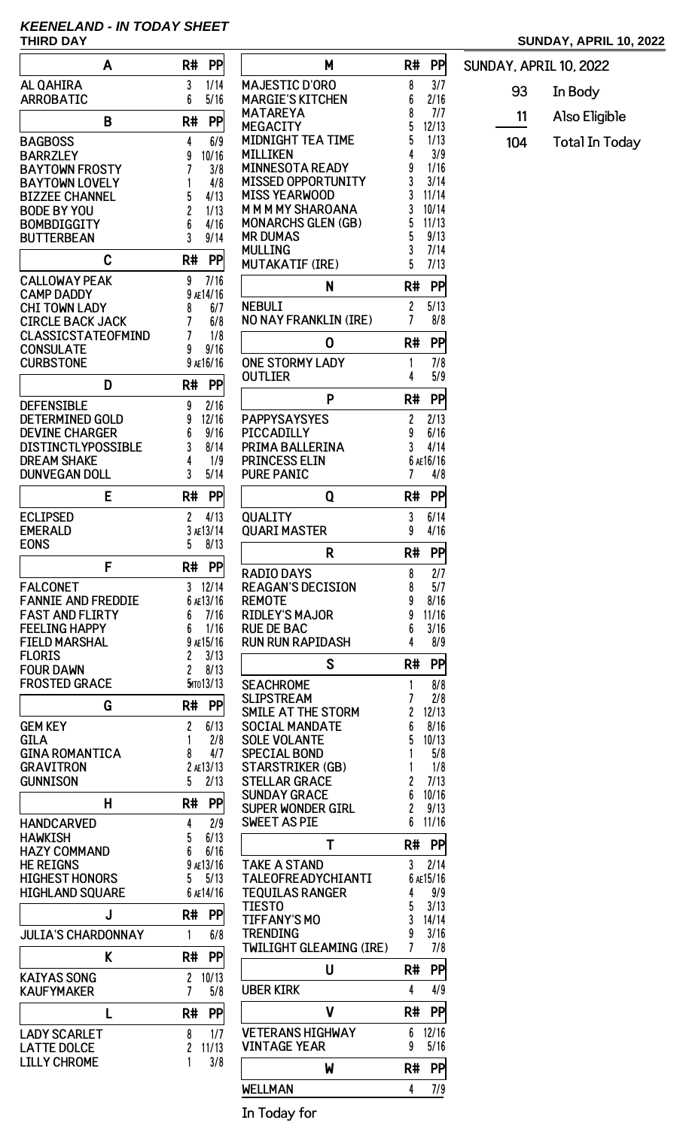## **KEENELAND - IN TODAY SHEET**

## **THIRD DAY SUNDAY, APRIL 10, 2022**

| A                                             | <b>PP</b><br>R#                     |                                 |
|-----------------------------------------------|-------------------------------------|---------------------------------|
| <b>AL QAHIRA</b>                              | 1/14<br>3                           | <b>MAJEST</b>                   |
| <b>ARROBATIC</b>                              | 6<br>5/16                           | <b>MARGIE</b>                   |
| B                                             | R#<br>PP                            | <b>MATARE</b><br><b>MEGACI</b>  |
| <b>BAGBOSS</b>                                | 6/9<br>4                            | <b>MIDNIGI</b>                  |
| <b>BARRZLEY</b>                               | 10/16<br>9                          | <b>MILLIKE</b>                  |
| <b>BAYTOWN FROSTY</b>                         | 7<br>3/8                            | <b>MINNES</b>                   |
| <b>BAYTOWN LOVELY</b>                         | 1<br>4/8                            | <b>MISSED</b>                   |
| <b>BIZZEE CHANNEL</b><br><b>BODE BY YOU</b>   | 5<br>4/13<br>$\overline{c}$<br>1/13 | <b>MISS YE</b><br>MMMM          |
| <b>BOMBDIGGITY</b>                            | 6<br>4/16                           | <b>MONARO</b>                   |
| <b>BUTTERBEAN</b>                             | 3<br>9/14                           | <b>MR DUM</b>                   |
| C                                             | R#<br>PP                            | <b>MULLIN</b><br><b>MUTAKA</b>  |
| <b>CALLOWAY PEAK</b>                          | 9<br>7/16                           |                                 |
| <b>CAMP DADDY</b>                             | 9 AE14/16                           |                                 |
| <b>CHI TOWN LADY</b>                          | 8<br>6/7                            | <b>NEBULI</b>                   |
| <b>CIRCLE BACK JACK</b>                       | 7<br>6/8                            | <b>NO NAY</b>                   |
| <b>CLASSICSTATEOFMIND</b><br><b>CONSULATE</b> | 7<br>1/8<br>9<br>9/16               |                                 |
| <b>CURBSTONE</b>                              | 9 AE16/16                           | <b>ONE STO</b>                  |
| D                                             | R#<br>PP                            | <b>OUTLIEI</b>                  |
| <b>DEFENSIBLE</b>                             | 9<br>2/16                           |                                 |
| <b>DETERMINED GOLD</b>                        | 9<br>12/16                          | <b>PAPPYS</b>                   |
| <b>DEVINE CHARGER</b>                         | 6<br>9/16                           | <b>PICCAD</b>                   |
| <b>DISTINCTLYPOSSIBLE</b>                     | 3<br>8/14                           | <b>PRIMAE</b>                   |
| <b>DREAM SHAKE</b>                            | 4<br>1/9<br>3                       | <b>PRINCE:</b>                  |
| <b>DUNVEGAN DOLL</b>                          | 5/14                                | <b>PURE PA</b>                  |
| Е                                             | R#<br>PP                            |                                 |
| <b>ECLIPSED</b>                               | 2<br>4/13                           | QUALIT                          |
| <b>EMERALD</b><br><b>EONS</b>                 | 3 AE13/14<br>5<br>8/13              | <b>QUARIN</b>                   |
|                                               |                                     |                                 |
| F                                             | <b>PP</b><br>R#                     | RADIO L                         |
| <b>FALCONET</b><br><b>FANNIE AND FREDDIE</b>  | 3<br>12/14<br>6 AE13/16             | <b>REAGAN</b><br><b>REMOTE</b>  |
| <b>FAST AND FLIRTY</b>                        | 7/16<br>6                           | RIDLEY'                         |
| <b>FEELING HAPPY</b>                          | 6<br>1/16                           | <b>RUE DE I</b>                 |
| <b>FIELD MARSHAL</b>                          | 9 AE15/16                           | <b>RUN RUN</b>                  |
| <b>FLORIS</b>                                 | 2<br>3/13                           |                                 |
| <b>FOUR DAWN</b><br><b>FROSTED GRACE</b>      | 2<br>8/13<br><b>Б</b> ито 13/13     | <b>SEACHR</b>                   |
|                                               |                                     | <b>SLIPSTF</b>                  |
| G                                             | R#<br>PP                            | <b>SMILE A</b>                  |
| <b>GEM KEY</b>                                | 2<br>6/13                           | <b>SOCIAL</b>                   |
| <b>GILA</b><br><b>GINA ROMANTICA</b>          | 1<br>2/8<br>4/7<br>8                | <b>SOLE VC</b><br><b>SPECIA</b> |
| <b>GRAVITRON</b>                              | 2 AE13/13                           | <b>STARST</b>                   |
| <b>GUNNISON</b>                               | 5<br>2/13                           | <b>STELLAI</b>                  |
| н                                             | PP<br>R#                            | <b>SUNDAY</b>                   |
|                                               |                                     | <b>SUPER W</b><br>SWEET /       |
| <b>HANDCARVED</b><br><b>HAWKISH</b>           | 4<br>2/9<br>5<br>6/13               |                                 |
| <b>HAZY COMMAND</b>                           | 6/16<br>6                           |                                 |
| <b>HE REIGNS</b>                              | 9 AE13/16                           | <b>TAKE A</b>                   |
| <b>HIGHEST HONORS</b>                         | 5<br>5/13                           | <b>TALEOF</b>                   |
| <b>HIGHLAND SQUARE</b>                        | 6 AE14/16                           | <b>TEQUIL</b><br><b>TIESTO</b>  |
| J                                             | PP<br>R#                            | <b>TIFFAN</b>                   |
| <b>JULIA'S CHARDONNAY</b>                     | 1<br>6/8                            | <b>TRENDII</b>                  |
| K                                             | R#<br>PP                            | <b>TWILIGH</b>                  |
| <b>KAIYAS SONG</b>                            | 2<br>10/13                          |                                 |
| <b>KAUFYMAKER</b>                             | 7<br>5/8                            | <b>UBERKI</b>                   |
| L                                             | R#<br>PP                            |                                 |
| <b>LADY SCARLET</b>                           | 1/7<br>8                            | <b>VETERA</b>                   |
| <b>LATTE DOLCE</b>                            | 2<br>11/13                          | <b>VINTAG</b>                   |
| <b>LILLY CHROME</b>                           | 3/8                                 |                                 |

| Μ                                              | R#<br>PP                |
|------------------------------------------------|-------------------------|
| <b>MAJESTIC D'ORO</b>                          | 8<br>3/7                |
| <b>MARGIE'S KITCHEN</b>                        | 6<br>2/16               |
| MATAREYA                                       | 7/7<br>8                |
| <b>MEGACITY</b>                                | 5<br>12/13              |
| MIDNIGHT TEA TIME                              | 5<br>1/13               |
| <b>MILLIKEN</b>                                | 4<br>3/9                |
| <b>MINNESOTA READY</b>                         | 9<br>1/16               |
| <b>MISSED OPPORTUNITY</b>                      | 3<br>3/14               |
| <b>MISS YEARWOOD</b>                           | 3<br>11/14              |
| <b>MMMMY SHAROANA</b>                          | 3<br>10/14              |
| <b>MONARCHS GLEN (GB)</b>                      | 5<br>11/13              |
| <b>MR DUMAS</b>                                | 5<br>9/13               |
| MULLING                                        | 3<br>7/14               |
| MUTAKATIF (IRE)                                | 5<br>7/13               |
| N                                              | PP<br>R#                |
| <b>NEBULI</b>                                  | 2<br>5/13               |
| NO NAY FRANKLIN (IRE)                          | 7<br>8/8                |
| 0                                              | PP<br>R#                |
| <b>ONE STORMY LADY</b>                         | 7/8<br>1                |
| <b>OUTLIER</b>                                 | 4<br>5/9                |
| P                                              | R#<br>PP                |
| <b>PAPPYSAYSYES</b>                            | 2/13<br>2               |
| PICCADILLY                                     | 9<br>6/16               |
| PRIMA BALLERINA                                | 3<br>4/14               |
| <b>PRINCESS ELIN</b>                           | 6 AE16/16               |
| <b>PURE PANIC</b>                              | 7<br>4/8                |
| Q                                              | R#<br>PP                |
|                                                |                         |
| <b>QUALITY</b><br><b>QUARI MASTER</b>          | 6/14<br>3<br>9<br>4/16  |
| R                                              | PP<br>R#                |
| RADIO DAYS                                     | 2/7<br>8                |
| <b>REAGAN'S DECISION</b>                       | 8<br>5/7                |
| <b>REMOTE</b>                                  | 9<br>8/16               |
| <b>RIDLEY'S MAJOR</b>                          | 9<br>11/16              |
| <b>RUE DE BAC</b>                              | 3/16<br>6               |
| <b>RUN RUN RAPIDASH</b>                        | 8/9<br>4                |
| S                                              | PP<br>R#                |
| <b>SEACHROME</b>                               | 1<br>8/8                |
| <b>SLIPSTREAM</b>                              | 7<br>2/8                |
| SMILE AT THE STORM                             | 2<br>12/13              |
| <b>SOCIAL MANDATE</b>                          | 6<br>8/16               |
| <b>SOLE VOLANTE</b>                            | 5<br>10/13              |
| <b>SPECIAL BOND</b>                            | 1<br>5/8                |
| <b>STARSTRIKER (GB)</b>                        | 1<br>1/8                |
| <b>STELLAR GRACE</b>                           | 2<br>7/13               |
| <b>SUNDAY GRACE</b>                            | 6<br>10/16              |
| <b>SUPER WONDER GIRL</b>                       | 2<br>9/13               |
| <b>SWEET AS PIE</b>                            | 6<br>11/16              |
| Т                                              | R#<br>PP                |
|                                                |                         |
| <b>TAKE A STAND</b>                            | 3<br>2/14               |
| TALEOFREADYCHIANTI<br><b>TEQUILAS RANGER</b>   | 6 AE15/16<br>4          |
| <b>TIESTO</b>                                  | 9/9<br>5<br>3/13        |
| <b>TIFFANY'S MO</b>                            | 3<br>14/14              |
| TRENDING                                       | 9<br>3/16               |
| <b>TWILIGHT GLEAMING (IRE)</b>                 | 7<br>7/8                |
| U                                              | R#<br>PP                |
| <b>UBER KIRK</b>                               | 4/9<br>4                |
| V                                              | R#<br>PP                |
|                                                |                         |
| <b>VETERANS HIGHWAY</b><br><b>VINTAGE YEAR</b> | 12/16<br>6<br>9<br>5/16 |
| W                                              | PP<br>R#                |
|                                                |                         |
| WELLMAN                                        | 4<br>$\frac{7/9}{2}$    |

SUNDAY, APRIL 10, 2022 93 In Body 11 Also Eligible 104 Total In Today

In Today for